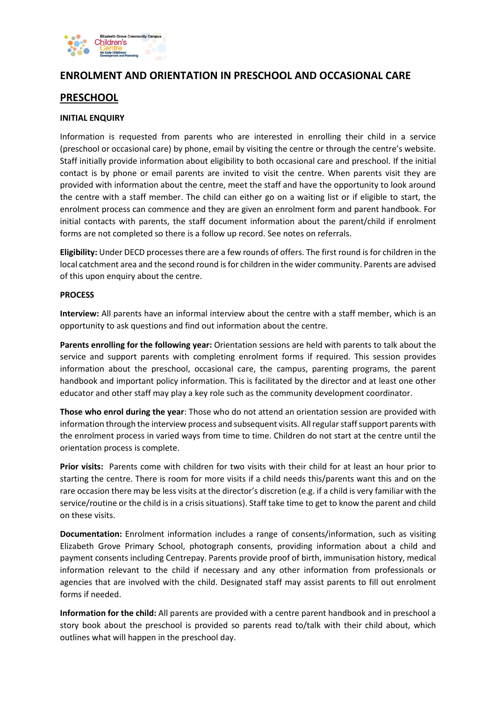

## **ENROLMENT AND ORIENTATION IN PRESCHOOL AND OCCASIONAL CARE**

## **PRESCHOOL**

#### **INITIAL ENQUIRY**

Information is requested from parents who are interested in enrolling their child in a service (preschool or occasional care) by phone, email by visiting the centre or through the centre's website. Staff initially provide information about eligibility to both occasional care and preschool. If the initial contact is by phone or email parents are invited to visit the centre. When parents visit they are provided with information about the centre, meet the staff and have the opportunity to look around the centre with a staff member. The child can either go on a waiting list or if eligible to start, the enrolment process can commence and they are given an enrolment form and parent handbook. For initial contacts with parents, the staff document information about the parent/child if enrolment forms are not completed so there is a follow up record. See notes on referrals.

**Eligibility:** Under DECD processes there are a few rounds of offers. The first round is for children in the local catchment area and the second round is for children in the wider community. Parents are advised of this upon enquiry about the centre.

#### **PROCESS**

**Interview:** All parents have an informal interview about the centre with a staff member, which is an opportunity to ask questions and find out information about the centre.

**Parents enrolling for the following year:** Orientation sessions are held with parents to talk about the service and support parents with completing enrolment forms if required. This session provides information about the preschool, occasional care, the campus, parenting programs, the parent handbook and important policy information. This is facilitated by the director and at least one other educator and other staff may play a key role such as the community development coordinator.

**Those who enrol during the year**: Those who do not attend an orientation session are provided with information through the interview process and subsequent visits. All regular staff support parents with the enrolment process in varied ways from time to time. Children do not start at the centre until the orientation process is complete.

**Prior visits:** Parents come with children for two visits with their child for at least an hour prior to starting the centre. There is room for more visits if a child needs this/parents want this and on the rare occasion there may be less visits at the director's discretion (e.g. if a child is very familiar with the service/routine or the child is in a crisis situations). Staff take time to get to know the parent and child on these visits.

**Documentation:** Enrolment information includes a range of consents/information, such as visiting Elizabeth Grove Primary School, photograph consents, providing information about a child and payment consents including Centrepay. Parents provide proof of birth, immunisation history, medical information relevant to the child if necessary and any other information from professionals or agencies that are involved with the child. Designated staff may assist parents to fill out enrolment forms if needed.

**Information for the child:** All parents are provided with a centre parent handbook and in preschool a story book about the preschool is provided so parents read to/talk with their child about, which outlines what will happen in the preschool day.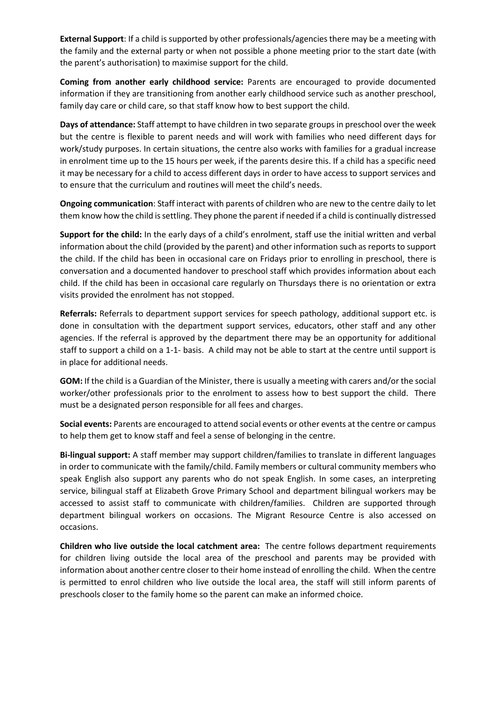**External Support**: If a child is supported by other professionals/agencies there may be a meeting with the family and the external party or when not possible a phone meeting prior to the start date (with the parent's authorisation) to maximise support for the child.

**Coming from another early childhood service:** Parents are encouraged to provide documented information if they are transitioning from another early childhood service such as another preschool, family day care or child care, so that staff know how to best support the child.

**Days of attendance:** Staff attempt to have children in two separate groups in preschool over the week but the centre is flexible to parent needs and will work with families who need different days for work/study purposes. In certain situations, the centre also works with families for a gradual increase in enrolment time up to the 15 hours per week, if the parents desire this. If a child has a specific need it may be necessary for a child to access different days in order to have access to support services and to ensure that the curriculum and routines will meet the child's needs.

**Ongoing communication**: Staff interact with parents of children who are new to the centre daily to let them know how the child is settling. They phone the parent if needed if a child is continually distressed

**Support for the child:** In the early days of a child's enrolment, staff use the initial written and verbal information about the child (provided by the parent) and other information such as reports to support the child. If the child has been in occasional care on Fridays prior to enrolling in preschool, there is conversation and a documented handover to preschool staff which provides information about each child. If the child has been in occasional care regularly on Thursdays there is no orientation or extra visits provided the enrolment has not stopped.

**Referrals:** Referrals to department support services for speech pathology, additional support etc. is done in consultation with the department support services, educators, other staff and any other agencies. If the referral is approved by the department there may be an opportunity for additional staff to support a child on a 1-1- basis. A child may not be able to start at the centre until support is in place for additional needs.

**GOM:** If the child is a Guardian of the Minister, there is usually a meeting with carers and/or the social worker/other professionals prior to the enrolment to assess how to best support the child. There must be a designated person responsible for all fees and charges.

**Social events:** Parents are encouraged to attend social events or other events at the centre or campus to help them get to know staff and feel a sense of belonging in the centre.

**Bi-lingual support:** A staff member may support children/families to translate in different languages in order to communicate with the family/child. Family members or cultural community members who speak English also support any parents who do not speak English. In some cases, an interpreting service, bilingual staff at Elizabeth Grove Primary School and department bilingual workers may be accessed to assist staff to communicate with children/families. Children are supported through department bilingual workers on occasions. The Migrant Resource Centre is also accessed on occasions.

**Children who live outside the local catchment area:** The centre follows department requirements for children living outside the local area of the preschool and parents may be provided with information about another centre closer to their home instead of enrolling the child. When the centre is permitted to enrol children who live outside the local area, the staff will still inform parents of preschools closer to the family home so the parent can make an informed choice.